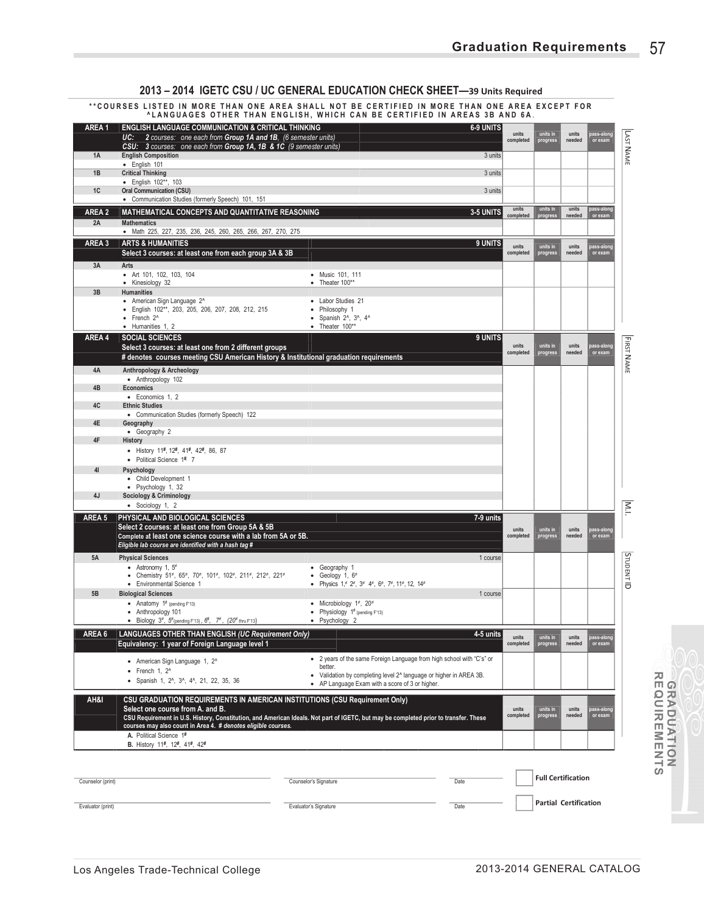|                   | **COURSES LISTED IN MORE THAN ONE AREA SHALL NOT BE CERTIFIED IN MORE THAN ONE AREA EXCEPT FOR                                                                                                             | <b>ALANGUAGES OTHER THAN ENGLISH, WHICH CAN BE CERTIFIED IN AREAS 3B AND 6A.</b>                |                  |                    |                              |                 |                       |                         |
|-------------------|------------------------------------------------------------------------------------------------------------------------------------------------------------------------------------------------------------|-------------------------------------------------------------------------------------------------|------------------|--------------------|------------------------------|-----------------|-----------------------|-------------------------|
| AREA1             | <b>ENGLISH LANGUAGE COMMUNICATION &amp; CRITICAL THINKING</b><br>2 courses: one each from Group 1A and 1B, (6 semester units)<br>UC:<br>CSU: 3 courses: one each from Group 1A, 1B & 1C (9 semester units) |                                                                                                 | <b>6-9 UNITS</b> | units<br>completed | units in<br>progress         | units<br>needed | ass-along<br>or exam  | <b>LAST NAME</b>        |
| 1A                | <b>English Composition</b>                                                                                                                                                                                 |                                                                                                 | 3 units          |                    |                              |                 |                       |                         |
| 1B                | · English 101<br><b>Critical Thinking</b>                                                                                                                                                                  |                                                                                                 | 3 units          |                    |                              |                 |                       |                         |
| 1C                | • English 102**, 103<br><b>Oral Communication (CSU)</b>                                                                                                                                                    |                                                                                                 | 3 units          |                    |                              |                 |                       |                         |
|                   | • Communication Studies (formerly Speech) 101, 151                                                                                                                                                         |                                                                                                 |                  |                    |                              |                 |                       |                         |
| AREA 2            | MATHEMATICAL CONCEPTS AND QUANTITATIVE REASONING                                                                                                                                                           |                                                                                                 | 3-5 UNITS        | units<br>completed | units in<br>progress         | units<br>needed | pass-along<br>or exam |                         |
| 2A                | <b>Mathematics</b>                                                                                                                                                                                         |                                                                                                 |                  |                    |                              |                 |                       |                         |
| AREA 3            | · Math 225, 227, 235, 236, 245, 260, 265, 266, 267, 270, 275<br><b>ARTS &amp; HUMANITIES</b>                                                                                                               |                                                                                                 | 9 UNITS          |                    |                              |                 |                       |                         |
|                   | Select 3 courses: at least one from each group 3A & 3B                                                                                                                                                     |                                                                                                 |                  | units<br>completed | units in<br>progress         | units<br>needed | ass-along<br>or exam  |                         |
| 3A                | Arts                                                                                                                                                                                                       |                                                                                                 |                  |                    |                              |                 |                       |                         |
|                   | • Art 101, 102, 103, 104<br>• Kinesiology 32                                                                                                                                                               | • Music 101, 111<br>$\bullet$ Theater 100**                                                     |                  |                    |                              |                 |                       |                         |
| 3B                | <b>Humanities</b>                                                                                                                                                                                          |                                                                                                 |                  |                    |                              |                 |                       |                         |
|                   | • American Sign Language 2^<br>· English 102**, 203, 205, 206, 207, 208, 212, 215                                                                                                                          | • Labor Studies 21<br>• Philosophy 1                                                            |                  |                    |                              |                 |                       |                         |
|                   | $\bullet$ French $2^{\wedge}$<br>• Humanities 1, 2                                                                                                                                                         | $\bullet$ Spanish 2^, 3^, 4^<br>$\bullet$ Theater 100**                                         |                  |                    |                              |                 |                       |                         |
| AREA 4            | <b>SOCIAL SCIENCES</b>                                                                                                                                                                                     |                                                                                                 | 9 UNITS          |                    |                              |                 |                       |                         |
|                   | Select 3 courses: at least one from 2 different groups<br># denotes courses meeting CSU American History & Institutional graduation requirements                                                           |                                                                                                 |                  | units<br>completed | units in<br>progress         | units<br>needed | ass-alon<br>or exam   | <b>FIRST NAME</b>       |
| 4A                | Anthropology & Archeology                                                                                                                                                                                  |                                                                                                 |                  |                    |                              |                 |                       |                         |
|                   | · Anthropology 102                                                                                                                                                                                         |                                                                                                 |                  |                    |                              |                 |                       |                         |
| 4B                | <b>Economics</b><br>• Economics 1, 2                                                                                                                                                                       |                                                                                                 |                  |                    |                              |                 |                       |                         |
| 4C                | <b>Ethnic Studies</b>                                                                                                                                                                                      |                                                                                                 |                  |                    |                              |                 |                       |                         |
| 4E                | • Communication Studies (formerly Speech) 122<br>Geography                                                                                                                                                 |                                                                                                 |                  |                    |                              |                 |                       |                         |
| 4F                | • Geography 2<br>History                                                                                                                                                                                   |                                                                                                 |                  |                    |                              |                 |                       |                         |
|                   | • History 11#, 12#, 41#, 42#, 86, 87                                                                                                                                                                       |                                                                                                 |                  |                    |                              |                 |                       |                         |
|                   | • Political Science 1#. 7                                                                                                                                                                                  |                                                                                                 |                  |                    |                              |                 |                       |                         |
| 41                | Psychology<br>• Child Development 1                                                                                                                                                                        |                                                                                                 |                  |                    |                              |                 |                       |                         |
| 4J                | • Psychology 1, 32                                                                                                                                                                                         |                                                                                                 |                  |                    |                              |                 |                       |                         |
|                   | <b>Sociology &amp; Criminology</b><br>• Sociology 1, 2                                                                                                                                                     |                                                                                                 |                  |                    |                              |                 |                       | $\overline{\mathbb{R}}$ |
| AREA 5            | PHYSICAL AND BIOLOGICAL SCIENCES                                                                                                                                                                           |                                                                                                 | 7-9 units        |                    |                              |                 |                       |                         |
|                   | Select 2 courses: at least one from Group 5A & 5B<br>Complete at least one science course with a lab from 5A or 5B.<br>Eligible lab course are identified with a hash tag #                                |                                                                                                 |                  | units<br>completed | units in<br>progress         | units<br>needed | ass-along<br>or exam  |                         |
| 5A                | <b>Physical Sciences</b>                                                                                                                                                                                   |                                                                                                 | 1 course         |                    |                              |                 |                       |                         |
|                   | • Astronomy 1, $5^{\neq}$<br>• Chemistry 51*, 65*, 70*, 101*, 102*, 211*, 212*, 221*                                                                                                                       | • Geography 1<br>• Geology 1, $6\neq$                                                           |                  |                    |                              |                 |                       |                         |
|                   | • Environmental Science 1                                                                                                                                                                                  | • Physics $1,^{\neq} 2^{\neq}, 3^{\neq} 4^{\neq}, 6^{\neq}, 7^{\neq}, 11^{\neq}, 12, 14^{\neq}$ |                  |                    |                              |                 |                       | <b>STUDENTID</b>        |
| 5B                | <b>Biological Sciences</b>                                                                                                                                                                                 |                                                                                                 | 1 course         |                    |                              |                 |                       |                         |
|                   | • Anatomy $1^{\#}$ (pending F'13)<br>• Anthropology 101                                                                                                                                                    | • Microbiology $1^{\neq}$ , 20 <sup>*</sup><br>• Physiology $1^{\#}$ (pending F'13)             |                  |                    |                              |                 |                       |                         |
|                   | Biology $3^{\neq}$ , $5^{\neq}$ (pending F'13), $6^{\neq}$ , $7^{\neq}$ , $(20^{\neq}$ thru F'13)                                                                                                          | • Psychology 2                                                                                  |                  |                    |                              |                 |                       |                         |
| AREA 6            | LANGUAGES OTHER THAN ENGLISH (UC Requirement Only)<br>Equivalency: 1 year of Foreign Language level 1                                                                                                      |                                                                                                 | 4-5 units        | units<br>completed | units in<br>progress         | units<br>needed | ass-alon<br>or exam   |                         |
|                   | • American Sign Language 1, 2 <sup>^</sup>                                                                                                                                                                 | • 2 years of the same Foreign Language from high school with "C's" or                           |                  |                    |                              |                 |                       |                         |
|                   | $\bullet$ French 1, 2 $\circ$                                                                                                                                                                              | better.<br>• Validation by completing level 2^ language or higher in AREA 3B.                   |                  |                    |                              |                 |                       |                         |
|                   | • Spanish 1, 2 <sup>^</sup> , 3 <sup>^</sup> , 4 <sup>^</sup> , 21, 22, 35, 36                                                                                                                             | • AP Language Exam with a score of 3 or higher.                                                 |                  |                    |                              |                 |                       |                         |
| AH&I              | CSU GRADUATION REQUIREMENTS IN AMERICAN INSTITUTIONS (CSU Requirement Only)<br>Select one course from A. and B.                                                                                            |                                                                                                 |                  | units              | units in                     | units           | ass-alon              |                         |
|                   | CSU Requirement in U.S. History, Constitution, and American Ideals. Not part of IGETC, but may be completed prior to transfer. These<br>courses may also count in Area 4. # denotes eligible courses.      |                                                                                                 |                  | completed          | progress                     | needed          | or exam               |                         |
|                   | A. Political Science 1#<br>B. History 11#, 12#, 41#, 42#                                                                                                                                                   |                                                                                                 |                  |                    |                              |                 |                       |                         |
|                   |                                                                                                                                                                                                            |                                                                                                 |                  |                    |                              |                 |                       |                         |
| Counselor (print) |                                                                                                                                                                                                            | Date<br>Counselor's Signature                                                                   |                  |                    | <b>Full Certification</b>    |                 |                       |                         |
|                   |                                                                                                                                                                                                            |                                                                                                 |                  |                    |                              |                 |                       |                         |
| Evaluator (print) |                                                                                                                                                                                                            | Evaluator's Signature                                                                           | Date             |                    | <b>Partial Certification</b> |                 |                       |                         |

# **2013 – 2014 IGETC CSU / UC GENERAL EDUCATION CHECK SHEET—39 Units Required**

**GRADUATION REQUIREMENTS**

**GRADUATION<br>REQUIREMENTS**